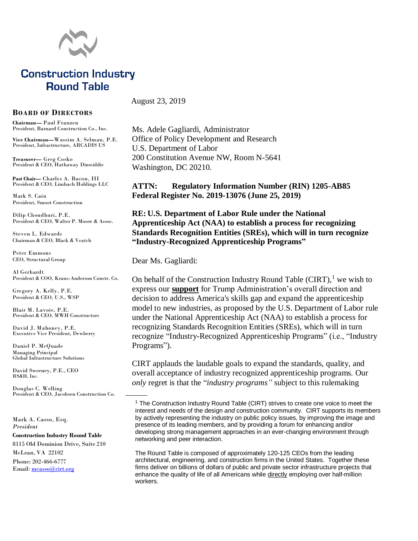

# **Construction Industry Round Table**

#### **BOARD OF DIRECTORS**

**Chairman—** Paul Franzen President, Barnard Construction Co., Inc.

**Vice Chairman—**Wassim A. Selman, P.E. President, Infrastructure, ARCADIS US

**Treasurer—** Greg Cosko President & CEO, Hathaway Dinwiddie

**Past Chair—** Charles A. Bacon, III President & CEO, Limbach Holdings LLC

Mark S. Cain President, Smoot Construction

Dilip Choudhuri, P.E. President & CEO, Walter P. Moore & Assoc.

Steven L. Edwards Chairman & CEO, Black & Veatch

Peter Emmons CEO, Structural Group

Al Gerhardt President & COO, Kraus-Anderson Constr. Co.

Gregory A. Kelly, P.E. President & CEO, U.S., WSP

Blair M. Lavoie, P.E. President & CEO, MWH Constructors

David J. Mahoney, P.E. Executive Vice President, Dewberry

Daniel P. McQuade Managing Principal Global Infrastructure Solutions

David Sweeney, P.E., CEO RS&H, Inc.

Douglas C. Welling President & CEO, Jacobsen Construction Co.

Mark A. Casso, Esq. *President* **Construction Industry Round Table** 8115 Old Dominion Drive, Suite 210 McLean, VA 22102 Phone: 202-466-6777 Email: [mcasso@cirt.org](mailto:mcasso@cirt.org)

August 23, 2019

Ms. Adele Gagliardi, Administrator Office of Policy Development and Research U.S. Department of Labor 200 Constitution Avenue NW, Room N-5641 Washington, DC 20210.

**ATTN: Regulatory Information Number (RIN) 1205-AB85 Federal Register No. 2019-13076 (June 25, 2019)**

**RE: U.S. Department of Labor Rule under the National Apprenticeship Act (NAA) to establish a process for recognizing Standards Recognition Entities (SREs), which will in turn recognize "Industry-Recognized Apprenticeship Programs"**

Dear Ms. Gagliardi:

On behalf of the Construction Industry Round Table  $(CIRT)$ , we wish to express our **support** for Trump Administration's overall direction and decision to address America's skills gap and expand the apprenticeship model to new industries, as proposed by the U.S. Department of Labor rule under the National Apprenticeship Act (NAA) to establish a process for recognizing Standards Recognition Entities (SREs), which will in turn recognize "Industry-Recognized Apprenticeship Programs" (i.e., "Industry Programs").

CIRT applauds the laudable goals to expand the standards, quality, and overall acceptance of industry recognized apprenticeship programs. Our *only* regret is that the "*industry programs"* subject to this rulemaking

The Round Table is composed of approximately 120-125 CEOs from the leading architectural, engineering, and construction firms in the United States. Together these firms deliver on billions of dollars of public and private sector infrastructure projects that enhance the quality of life of all Americans while directly employing over half-million workers.

<sup>&</sup>lt;sup>1</sup> The Construction Industry Round Table (CIRT) strives to create one voice to meet the interest and needs of the design *and* construction community. CIRT supports its members by actively representing the industry on public policy issues, by improving the image and presence of its leading members, and by providing a forum for enhancing and/or developing strong management approaches in an ever-changing environment through networking and peer interaction.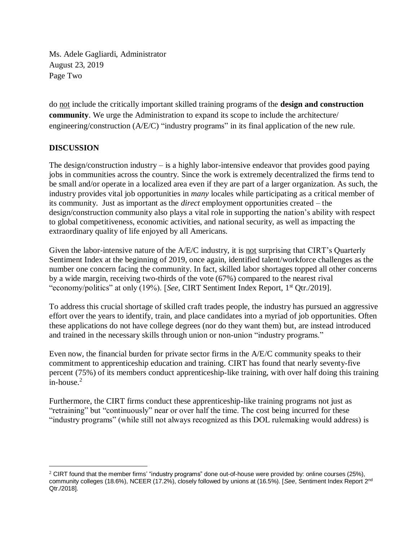Ms. Adele Gagliardi, Administrator August 23, 2019 Page Two

do not include the critically important skilled training programs of the **design and construction community**. We urge the Administration to expand its scope to include the architecture/ engineering/construction (A/E/C) "industry programs" in its final application of the new rule.

### **DISCUSSION**

The design/construction industry – is a highly labor-intensive endeavor that provides good paying jobs in communities across the country. Since the work is extremely decentralized the firms tend to be small and/or operate in a localized area even if they are part of a larger organization. As such, the industry provides vital job opportunities in *many* locales while participating as a critical member of its community. Just as important as the *direct* employment opportunities created – the design/construction community also plays a vital role in supporting the nation's ability with respect to global competitiveness, economic activities, and national security, as well as impacting the extraordinary quality of life enjoyed by all Americans.

Given the labor-intensive nature of the A/E/C industry, it is not surprising that CIRT's Quarterly Sentiment Index at the beginning of 2019, once again, identified talent/workforce challenges as the number one concern facing the community. In fact, skilled labor shortages topped all other concerns by a wide margin, receiving two-thirds of the vote (67%) compared to the nearest rival "economy/politics" at only (19%). [*See*, CIRT Sentiment Index Report, 1st Qtr./2019].

To address this crucial shortage of skilled craft trades people, the industry has pursued an aggressive effort over the years to identify, train, and place candidates into a myriad of job opportunities. Often these applications do not have college degrees (nor do they want them) but, are instead introduced and trained in the necessary skills through union or non-union "industry programs."

Even now, the financial burden for private sector firms in the A/E/C community speaks to their commitment to apprenticeship education and training. CIRT has found that nearly seventy-five percent (75%) of its members conduct apprenticeship-like training, with over half doing this training  $in$ -house. $2$ 

Furthermore, the CIRT firms conduct these apprenticeship-like training programs not just as "retraining" but "continuously" near or over half the time. The cost being incurred for these "industry programs" (while still not always recognized as this DOL rulemaking would address) is

 $2$  CIRT found that the member firms' "industry programs" done out-of-house were provided by: online courses (25%), community colleges (18.6%), NCEER (17.2%), closely followed by unions at (16.5%). [*See*, Sentiment Index Report 2nd Qtr./2018].